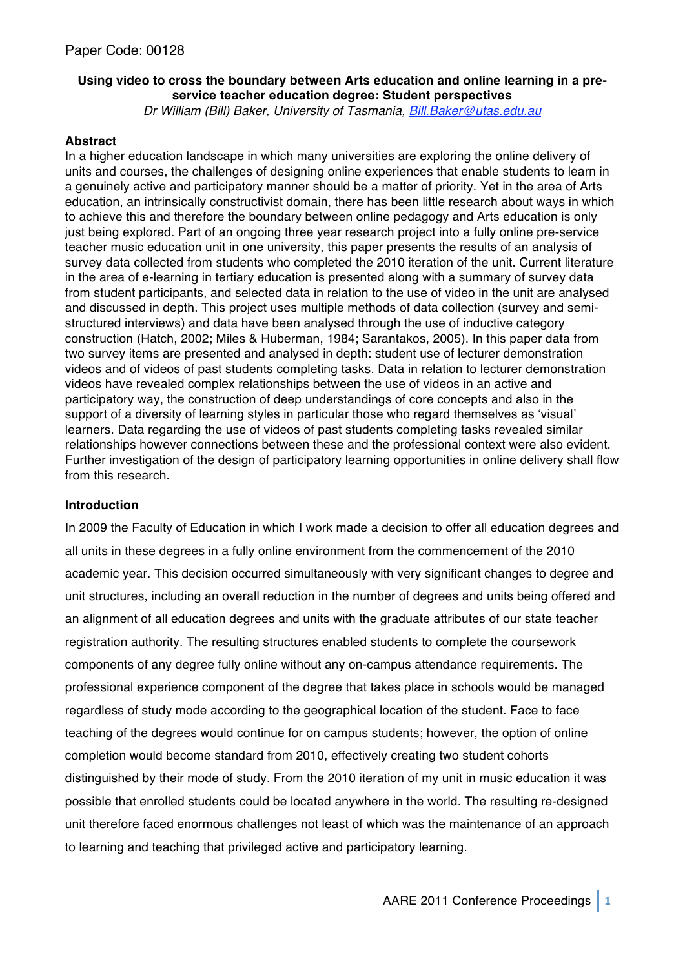# **Using video to cross the boundary between Arts education and online learning in a preservice teacher education degree: Student perspectives**

*Dr William (Bill) Baker, University of Tasmania, Bill.Baker@utas.edu.au*

### **Abstract**

In a higher education landscape in which many universities are exploring the online delivery of units and courses, the challenges of designing online experiences that enable students to learn in a genuinely active and participatory manner should be a matter of priority. Yet in the area of Arts education, an intrinsically constructivist domain, there has been little research about ways in which to achieve this and therefore the boundary between online pedagogy and Arts education is only just being explored. Part of an ongoing three year research project into a fully online pre-service teacher music education unit in one university, this paper presents the results of an analysis of survey data collected from students who completed the 2010 iteration of the unit. Current literature in the area of e-learning in tertiary education is presented along with a summary of survey data from student participants, and selected data in relation to the use of video in the unit are analysed and discussed in depth. This project uses multiple methods of data collection (survey and semistructured interviews) and data have been analysed through the use of inductive category construction (Hatch, 2002; Miles & Huberman, 1984; Sarantakos, 2005). In this paper data from two survey items are presented and analysed in depth: student use of lecturer demonstration videos and of videos of past students completing tasks. Data in relation to lecturer demonstration videos have revealed complex relationships between the use of videos in an active and participatory way, the construction of deep understandings of core concepts and also in the support of a diversity of learning styles in particular those who regard themselves as ʻvisual' learners. Data regarding the use of videos of past students completing tasks revealed similar relationships however connections between these and the professional context were also evident. Further investigation of the design of participatory learning opportunities in online delivery shall flow from this research.

### **Introduction**

In 2009 the Faculty of Education in which I work made a decision to offer all education degrees and all units in these degrees in a fully online environment from the commencement of the 2010 academic year. This decision occurred simultaneously with very significant changes to degree and unit structures, including an overall reduction in the number of degrees and units being offered and an alignment of all education degrees and units with the graduate attributes of our state teacher registration authority. The resulting structures enabled students to complete the coursework components of any degree fully online without any on-campus attendance requirements. The professional experience component of the degree that takes place in schools would be managed regardless of study mode according to the geographical location of the student. Face to face teaching of the degrees would continue for on campus students; however, the option of online completion would become standard from 2010, effectively creating two student cohorts distinguished by their mode of study. From the 2010 iteration of my unit in music education it was possible that enrolled students could be located anywhere in the world. The resulting re-designed unit therefore faced enormous challenges not least of which was the maintenance of an approach to learning and teaching that privileged active and participatory learning.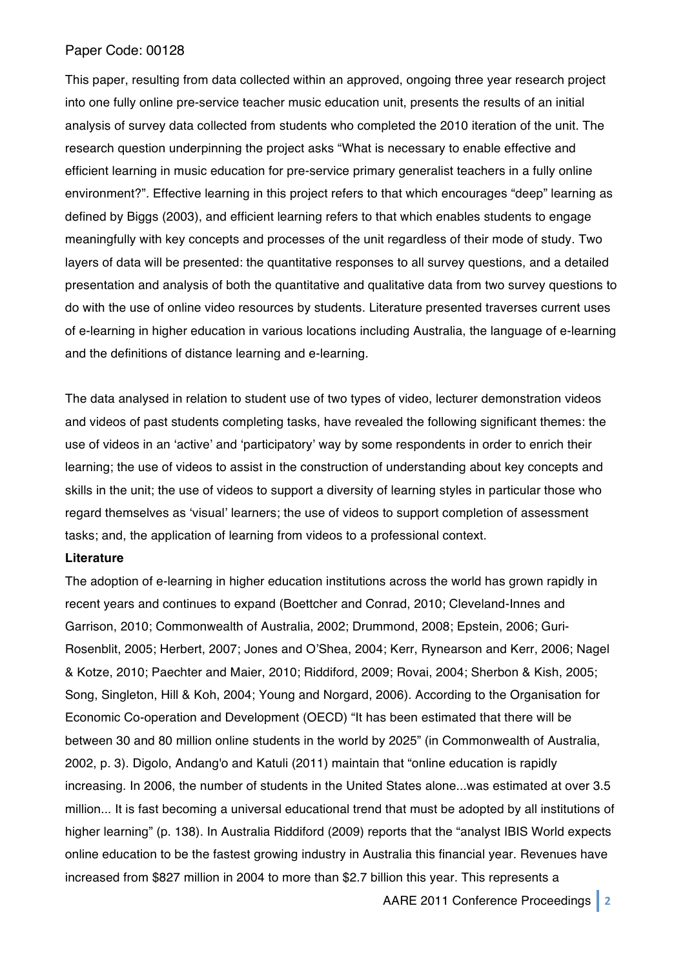This paper, resulting from data collected within an approved, ongoing three year research project into one fully online pre-service teacher music education unit, presents the results of an initial analysis of survey data collected from students who completed the 2010 iteration of the unit. The research question underpinning the project asks "What is necessary to enable effective and efficient learning in music education for pre-service primary generalist teachers in a fully online environment?". Effective learning in this project refers to that which encourages "deep" learning as defined by Biggs (2003), and efficient learning refers to that which enables students to engage meaningfully with key concepts and processes of the unit regardless of their mode of study. Two layers of data will be presented: the quantitative responses to all survey questions, and a detailed presentation and analysis of both the quantitative and qualitative data from two survey questions to do with the use of online video resources by students. Literature presented traverses current uses of e-learning in higher education in various locations including Australia, the language of e-learning and the definitions of distance learning and e-learning.

The data analysed in relation to student use of two types of video, lecturer demonstration videos and videos of past students completing tasks, have revealed the following significant themes: the use of videos in an ʻactive' and ʻparticipatory' way by some respondents in order to enrich their learning; the use of videos to assist in the construction of understanding about key concepts and skills in the unit; the use of videos to support a diversity of learning styles in particular those who regard themselves as ʻvisual' learners; the use of videos to support completion of assessment tasks; and, the application of learning from videos to a professional context.

### **Literature**

The adoption of e-learning in higher education institutions across the world has grown rapidly in recent years and continues to expand (Boettcher and Conrad, 2010; Cleveland-Innes and Garrison, 2010; Commonwealth of Australia, 2002; Drummond, 2008; Epstein, 2006; Guri-Rosenblit, 2005; Herbert, 2007; Jones and O'Shea, 2004; Kerr, Rynearson and Kerr, 2006; Nagel & Kotze, 2010; Paechter and Maier, 2010; Riddiford, 2009; Rovai, 2004; Sherbon & Kish, 2005; Song, Singleton, Hill & Koh, 2004; Young and Norgard, 2006). According to the Organisation for Economic Co-operation and Development (OECD) "It has been estimated that there will be between 30 and 80 million online students in the world by 2025" (in Commonwealth of Australia, 2002, p. 3). Digolo, Andang'o and Katuli (2011) maintain that "online education is rapidly increasing. In 2006, the number of students in the United States alone...was estimated at over 3.5 million... It is fast becoming a universal educational trend that must be adopted by all institutions of higher learning" (p. 138). In Australia Riddiford (2009) reports that the "analyst IBIS World expects online education to be the fastest growing industry in Australia this financial year. Revenues have increased from \$827 million in 2004 to more than \$2.7 billion this year. This represents a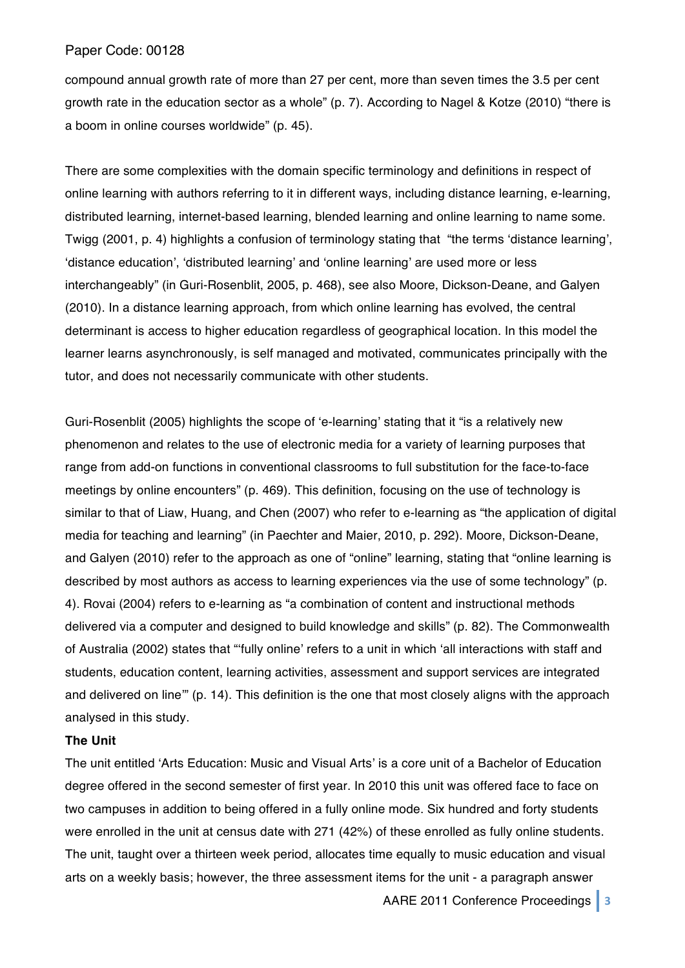compound annual growth rate of more than 27 per cent, more than seven times the 3.5 per cent growth rate in the education sector as a whole" (p. 7). According to Nagel & Kotze (2010) "there is a boom in online courses worldwide" (p. 45).

There are some complexities with the domain specific terminology and definitions in respect of online learning with authors referring to it in different ways, including distance learning, e-learning, distributed learning, internet-based learning, blended learning and online learning to name some. Twigg (2001, p. 4) highlights a confusion of terminology stating that "the terms ʻdistance learning', ʻdistance education', ʻdistributed learning' and ʻonline learning' are used more or less interchangeably" (in Guri-Rosenblit, 2005, p. 468), see also Moore, Dickson-Deane, and Galyen (2010). In a distance learning approach, from which online learning has evolved, the central determinant is access to higher education regardless of geographical location. In this model the learner learns asynchronously, is self managed and motivated, communicates principally with the tutor, and does not necessarily communicate with other students.

Guri-Rosenblit (2005) highlights the scope of ʻe-learning' stating that it "is a relatively new phenomenon and relates to the use of electronic media for a variety of learning purposes that range from add-on functions in conventional classrooms to full substitution for the face-to-face meetings by online encounters" (p. 469). This definition, focusing on the use of technology is similar to that of Liaw, Huang, and Chen (2007) who refer to e-learning as "the application of digital media for teaching and learning" (in Paechter and Maier, 2010, p. 292). Moore, Dickson-Deane, and Galyen (2010) refer to the approach as one of "online" learning, stating that "online learning is described by most authors as access to learning experiences via the use of some technology" (p. 4). Rovai (2004) refers to e-learning as "a combination of content and instructional methods delivered via a computer and designed to build knowledge and skills" (p. 82). The Commonwealth of Australia (2002) states that "ʻfully online' refers to a unit in which ʻall interactions with staff and students, education content, learning activities, assessment and support services are integrated and delivered on line'" (p. 14). This definition is the one that most closely aligns with the approach analysed in this study.

### **The Unit**

The unit entitled ʻArts Education: Music and Visual Arts' is a core unit of a Bachelor of Education degree offered in the second semester of first year. In 2010 this unit was offered face to face on two campuses in addition to being offered in a fully online mode. Six hundred and forty students were enrolled in the unit at census date with 271 (42%) of these enrolled as fully online students. The unit, taught over a thirteen week period, allocates time equally to music education and visual arts on a weekly basis; however, the three assessment items for the unit - a paragraph answer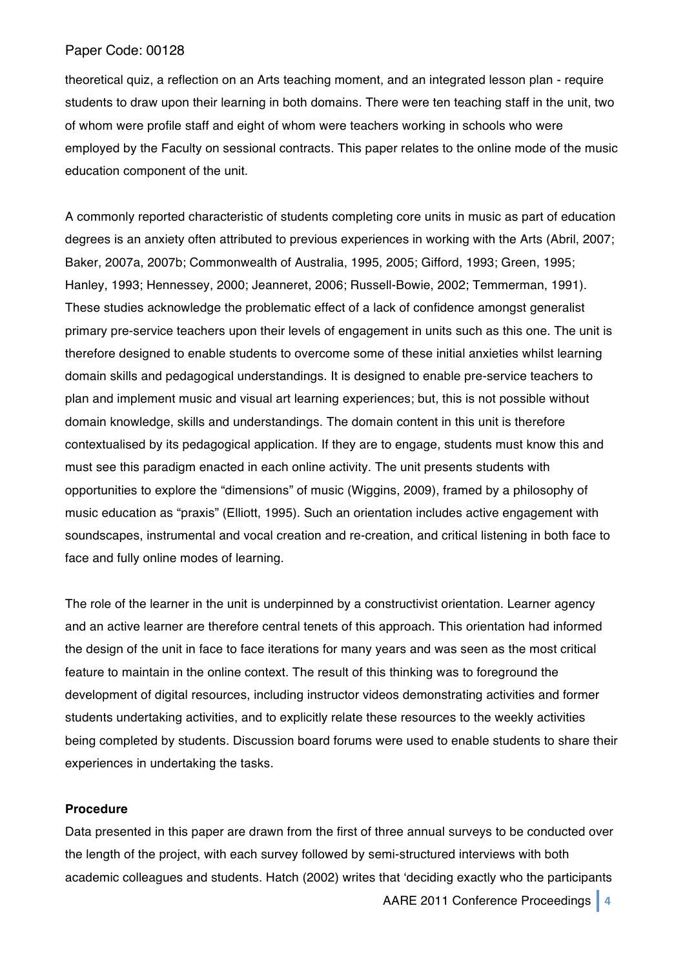theoretical quiz, a reflection on an Arts teaching moment, and an integrated lesson plan - require students to draw upon their learning in both domains. There were ten teaching staff in the unit, two of whom were profile staff and eight of whom were teachers working in schools who were employed by the Faculty on sessional contracts. This paper relates to the online mode of the music education component of the unit.

A commonly reported characteristic of students completing core units in music as part of education degrees is an anxiety often attributed to previous experiences in working with the Arts (Abril, 2007; Baker, 2007a, 2007b; Commonwealth of Australia, 1995, 2005; Gifford, 1993; Green, 1995; Hanley, 1993; Hennessey, 2000; Jeanneret, 2006; Russell-Bowie, 2002; Temmerman, 1991). These studies acknowledge the problematic effect of a lack of confidence amongst generalist primary pre-service teachers upon their levels of engagement in units such as this one. The unit is therefore designed to enable students to overcome some of these initial anxieties whilst learning domain skills and pedagogical understandings. It is designed to enable pre-service teachers to plan and implement music and visual art learning experiences; but, this is not possible without domain knowledge, skills and understandings. The domain content in this unit is therefore contextualised by its pedagogical application. If they are to engage, students must know this and must see this paradigm enacted in each online activity. The unit presents students with opportunities to explore the "dimensions" of music (Wiggins, 2009), framed by a philosophy of music education as "praxis" (Elliott, 1995). Such an orientation includes active engagement with soundscapes, instrumental and vocal creation and re-creation, and critical listening in both face to face and fully online modes of learning.

The role of the learner in the unit is underpinned by a constructivist orientation. Learner agency and an active learner are therefore central tenets of this approach. This orientation had informed the design of the unit in face to face iterations for many years and was seen as the most critical feature to maintain in the online context. The result of this thinking was to foreground the development of digital resources, including instructor videos demonstrating activities and former students undertaking activities, and to explicitly relate these resources to the weekly activities being completed by students. Discussion board forums were used to enable students to share their experiences in undertaking the tasks.

### **Procedure**

Data presented in this paper are drawn from the first of three annual surveys to be conducted over the length of the project, with each survey followed by semi-structured interviews with both academic colleagues and students. Hatch (2002) writes that ʻdeciding exactly who the participants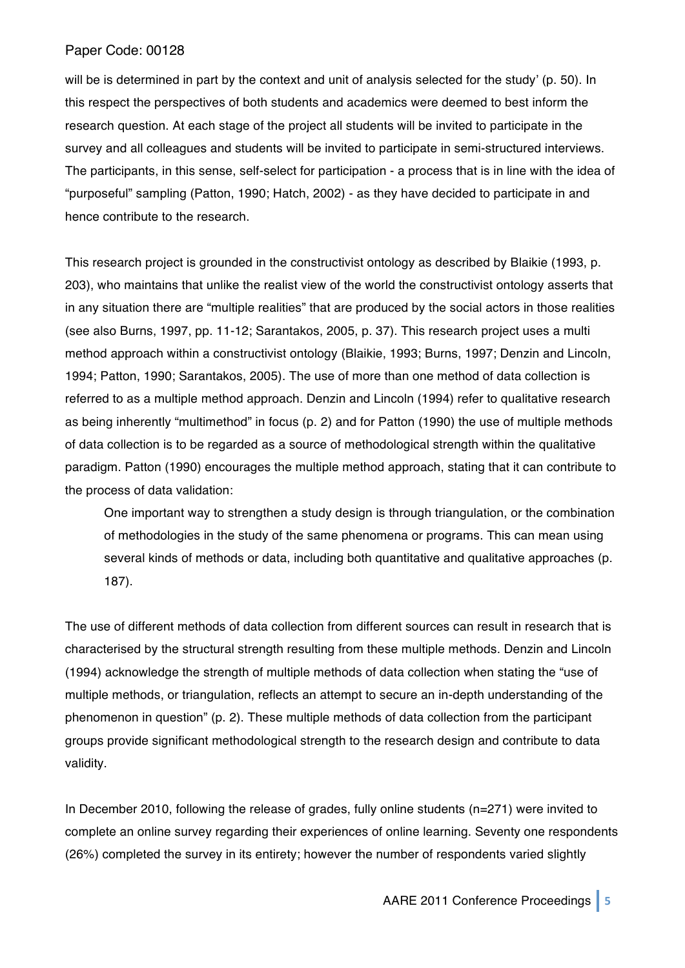will be is determined in part by the context and unit of analysis selected for the study' (p. 50). In this respect the perspectives of both students and academics were deemed to best inform the research question. At each stage of the project all students will be invited to participate in the survey and all colleagues and students will be invited to participate in semi-structured interviews. The participants, in this sense, self-select for participation - a process that is in line with the idea of "purposeful" sampling (Patton, 1990; Hatch, 2002) - as they have decided to participate in and hence contribute to the research.

This research project is grounded in the constructivist ontology as described by Blaikie (1993, p. 203), who maintains that unlike the realist view of the world the constructivist ontology asserts that in any situation there are "multiple realities" that are produced by the social actors in those realities (see also Burns, 1997, pp. 11-12; Sarantakos, 2005, p. 37). This research project uses a multi method approach within a constructivist ontology (Blaikie, 1993; Burns, 1997; Denzin and Lincoln, 1994; Patton, 1990; Sarantakos, 2005). The use of more than one method of data collection is referred to as a multiple method approach. Denzin and Lincoln (1994) refer to qualitative research as being inherently "multimethod" in focus (p. 2) and for Patton (1990) the use of multiple methods of data collection is to be regarded as a source of methodological strength within the qualitative paradigm. Patton (1990) encourages the multiple method approach, stating that it can contribute to the process of data validation:

One important way to strengthen a study design is through triangulation, or the combination of methodologies in the study of the same phenomena or programs. This can mean using several kinds of methods or data, including both quantitative and qualitative approaches (p. 187).

The use of different methods of data collection from different sources can result in research that is characterised by the structural strength resulting from these multiple methods. Denzin and Lincoln (1994) acknowledge the strength of multiple methods of data collection when stating the "use of multiple methods, or triangulation, reflects an attempt to secure an in-depth understanding of the phenomenon in question" (p. 2). These multiple methods of data collection from the participant groups provide significant methodological strength to the research design and contribute to data validity.

In December 2010, following the release of grades, fully online students (n=271) were invited to complete an online survey regarding their experiences of online learning. Seventy one respondents (26%) completed the survey in its entirety; however the number of respondents varied slightly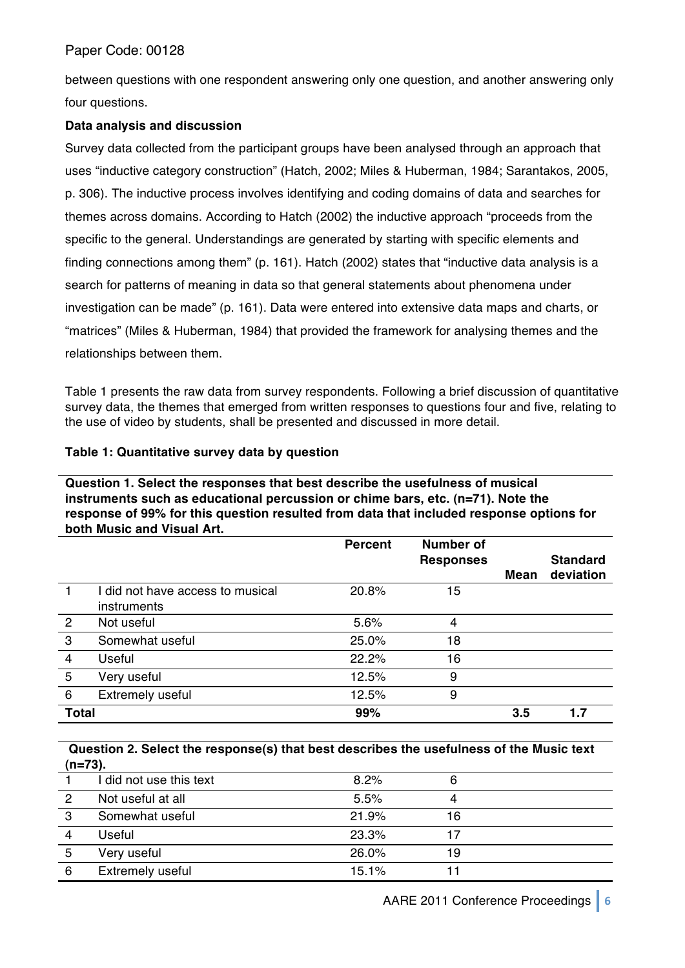between questions with one respondent answering only one question, and another answering only four questions.

# **Data analysis and discussion**

Survey data collected from the participant groups have been analysed through an approach that uses "inductive category construction" (Hatch, 2002; Miles & Huberman, 1984; Sarantakos, 2005, p. 306). The inductive process involves identifying and coding domains of data and searches for themes across domains. According to Hatch (2002) the inductive approach "proceeds from the specific to the general. Understandings are generated by starting with specific elements and finding connections among them" (p. 161). Hatch (2002) states that "inductive data analysis is a search for patterns of meaning in data so that general statements about phenomena under investigation can be made" (p. 161). Data were entered into extensive data maps and charts, or "matrices" (Miles & Huberman, 1984) that provided the framework for analysing themes and the relationships between them.

Table 1 presents the raw data from survey respondents. Following a brief discussion of quantitative survey data, the themes that emerged from written responses to questions four and five, relating to the use of video by students, shall be presented and discussed in more detail.

# **Table 1: Quantitative survey data by question**

**Question 1. Select the responses that best describe the usefulness of musical instruments such as educational percussion or chime bars, etc. (n=71). Note the response of 99% for this question resulted from data that included response options for both Music and Visual Art.**

|                |                                                 | <b>Percent</b> | <b>Number of</b><br><b>Responses</b> |             | <b>Standard</b> |
|----------------|-------------------------------------------------|----------------|--------------------------------------|-------------|-----------------|
|                |                                                 |                |                                      | <b>Mean</b> | deviation       |
|                | I did not have access to musical<br>instruments | 20.8%          | 15                                   |             |                 |
| $\overline{2}$ | Not useful                                      | 5.6%           | 4                                    |             |                 |
| 3              | Somewhat useful                                 | 25.0%          | 18                                   |             |                 |
| $\overline{4}$ | Useful                                          | 22.2%          | 16                                   |             |                 |
| 5              | Very useful                                     | 12.5%          | 9                                    |             |                 |
| 6              | Extremely useful                                | 12.5%          | 9                                    |             |                 |
| <b>Total</b>   |                                                 | 99%            |                                      | 3.5         | 1.7             |

## **Question 2. Select the response(s) that best describes the usefulness of the Music text (n=73).**

| . – . <i>. .</i> |                         |       |    |  |
|------------------|-------------------------|-------|----|--|
|                  | I did not use this text | 8.2%  |    |  |
|                  | Not useful at all       | 5.5%  |    |  |
| 3                | Somewhat useful         | 21.9% | 16 |  |
|                  | Useful                  | 23.3% |    |  |
| 5                | Very useful             | 26.0% | 19 |  |
| 6                | Extremely useful        | 15.1% |    |  |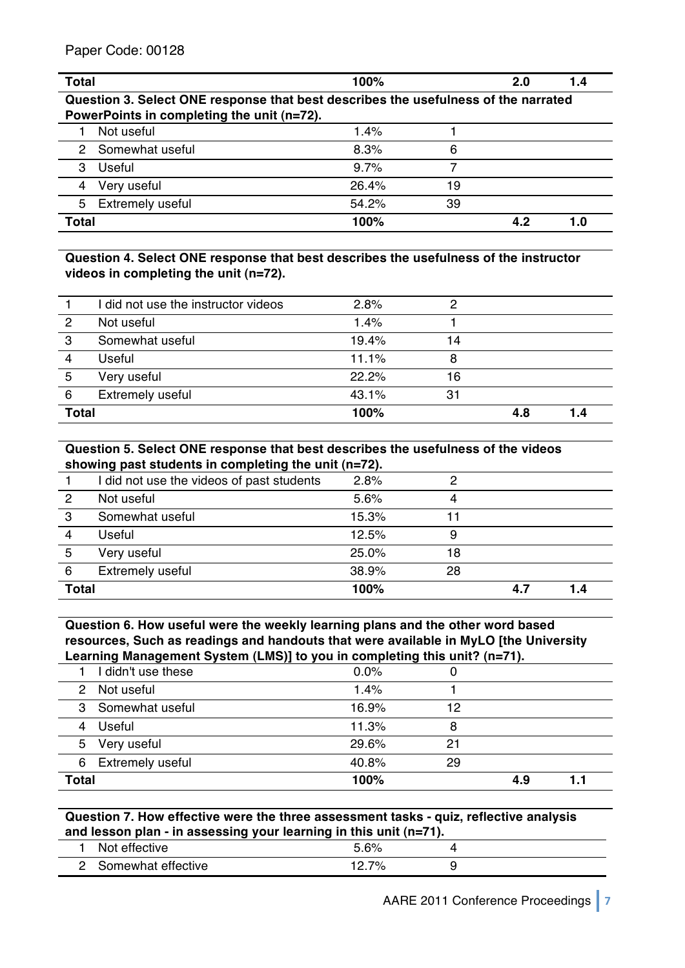| <b>Total</b>                                                                       | 100%    |    | 2.0 | 1.4 |  |  |  |
|------------------------------------------------------------------------------------|---------|----|-----|-----|--|--|--|
| Question 3. Select ONE response that best describes the usefulness of the narrated |         |    |     |     |  |  |  |
| PowerPoints in completing the unit (n=72).                                         |         |    |     |     |  |  |  |
| Not useful                                                                         | 1.4%    |    |     |     |  |  |  |
| Somewhat useful<br>2                                                               | 8.3%    | 6  |     |     |  |  |  |
| 3<br>Useful                                                                        | $9.7\%$ |    |     |     |  |  |  |
| Very useful                                                                        | 26.4%   | 19 |     |     |  |  |  |
| <b>Extremely useful</b><br>5                                                       | 54.2%   | 39 |     |     |  |  |  |
| <b>Total</b>                                                                       | 100%    |    | 4.2 | 1.0 |  |  |  |

**Question 4. Select ONE response that best describes the usefulness of the instructor videos in completing the unit (n=72).**

|                | I did not use the instructor videos | 2.8%  |    |     |     |
|----------------|-------------------------------------|-------|----|-----|-----|
| $\overline{2}$ | Not useful                          | 1.4%  |    |     |     |
| 3              | Somewhat useful                     | 19.4% | 14 |     |     |
| 4              | Useful                              | 11.1% | 8  |     |     |
| 5              | Very useful                         | 22.2% | 16 |     |     |
| 6              | Extremely useful                    | 43.1% | 31 |     |     |
| <b>Total</b>   |                                     | 100%  |    | 4.8 | 1.4 |

### **Question 5. Select ONE response that best describes the usefulness of the videos showing past students in completing the unit (n=72).**

|              | <u>onomng paol olaaonio in oompioling tho ann (n-reji</u> |       |    |     |     |  |
|--------------|-----------------------------------------------------------|-------|----|-----|-----|--|
|              | I did not use the videos of past students                 | 2.8%  |    |     |     |  |
| 2            | Not useful                                                | 5.6%  | Δ  |     |     |  |
| 3            | Somewhat useful                                           | 15.3% | 11 |     |     |  |
| 4            | Useful                                                    | 12.5% | 9  |     |     |  |
| 5            | Very useful                                               | 25.0% | 18 |     |     |  |
| 6            | Extremely useful                                          | 38.9% | 28 |     |     |  |
| <b>Total</b> |                                                           | 100%  |    | 4.7 | 1.4 |  |
|              |                                                           |       |    |     |     |  |

**Question 6. How useful were the weekly learning plans and the other word based resources, Such as readings and handouts that were available in MyLO [the University Learning Management System (LMS)] to you in completing this unit? (n=71).**

| I didn't use these<br>0.0%<br>Not useful<br>1.4%<br>2<br>3 Somewhat useful<br>16.9%<br>12<br>4 Useful<br>11.3%<br>8<br>29.6%<br>Very useful<br>5<br>21<br>6 Extremely useful<br>40.8%<br>29<br><b>Total</b><br>100%<br>4.9 | , . | . . |  |  |
|----------------------------------------------------------------------------------------------------------------------------------------------------------------------------------------------------------------------------|-----|-----|--|--|
|                                                                                                                                                                                                                            |     |     |  |  |
|                                                                                                                                                                                                                            |     |     |  |  |
|                                                                                                                                                                                                                            |     |     |  |  |
|                                                                                                                                                                                                                            |     |     |  |  |
|                                                                                                                                                                                                                            |     |     |  |  |
|                                                                                                                                                                                                                            |     |     |  |  |
|                                                                                                                                                                                                                            |     |     |  |  |

# **Question 7. How effective were the three assessment tasks - quiz, reflective analysis and lesson plan - in assessing your learning in this unit (n=71).**

| .<br>.<br>--<br>___<br>___ | -                   |  |
|----------------------------|---------------------|--|
| effective<br>Noi           | -<br>CO.<br>7с      |  |
| Somewhat effective         | 7%<br>∽<br><u>.</u> |  |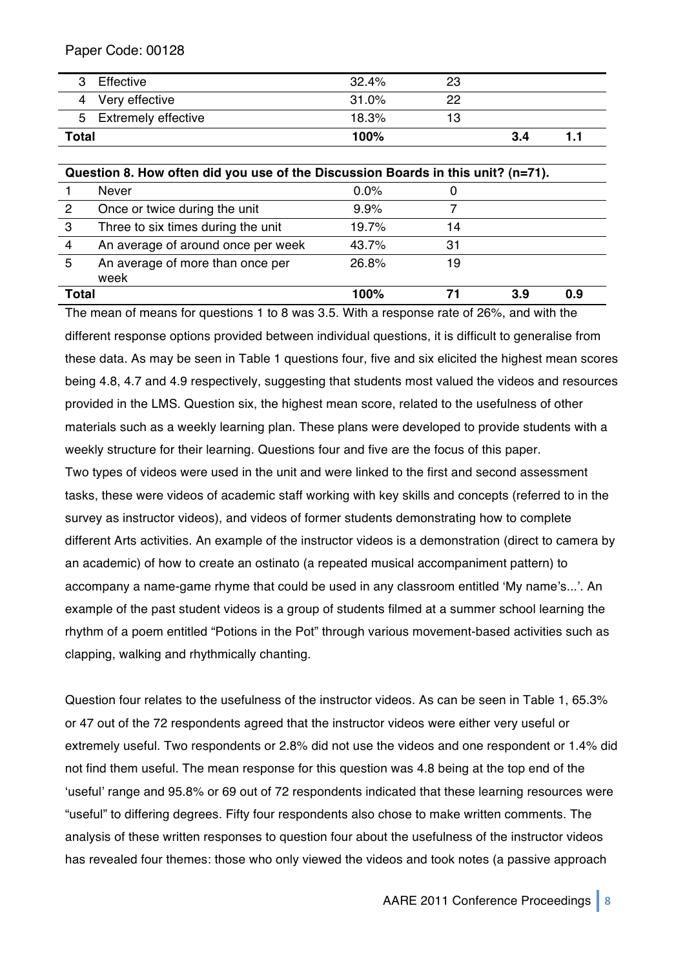| Effective             | 32.4% | 23 |     |  |
|-----------------------|-------|----|-----|--|
| 4 Very effective      | 31.0% | 22 |     |  |
| 5 Extremely effective | 18.3% | 13 |     |  |
| <b>Total</b>          | 100%  |    | 3.4 |  |

|              | Question 8. How often did you use of the Discussion Boards in this unit? (n=71). |         |    |    |     |  |  |
|--------------|----------------------------------------------------------------------------------|---------|----|----|-----|--|--|
|              | <b>Never</b>                                                                     | $0.0\%$ |    |    |     |  |  |
| 2            | Once or twice during the unit                                                    | 9.9%    |    |    |     |  |  |
| 3            | Three to six times during the unit                                               | 19.7%   | 14 |    |     |  |  |
| 4            | An average of around once per week                                               | 43.7%   | 31 |    |     |  |  |
| 5            | An average of more than once per<br>week                                         | 26.8%   | 19 |    |     |  |  |
| <b>Total</b> |                                                                                  | 100%    |    | 39 | 0.9 |  |  |

The mean of means for questions 1 to 8 was 3.5. With a response rate of 26%, and with the different response options provided between individual questions, it is difficult to generalise from these data. As may be seen in Table 1 questions four, five and six elicited the highest mean scores being 4.8, 4.7 and 4.9 respectively, suggesting that students most valued the videos and resources provided in the LMS. Question six, the highest mean score, related to the usefulness of other materials such as a weekly learning plan. These plans were developed to provide students with a weekly structure for their learning. Questions four and five are the focus of this paper.

Two types of videos were used in the unit and were linked to the first and second assessment tasks, these were videos of academic staff working with key skills and concepts (referred to in the survey as instructor videos), and videos of former students demonstrating how to complete different Arts activities. An example of the instructor videos is a demonstration (direct to camera by an academic) of how to create an ostinato (a repeated musical accompaniment pattern) to accompany a name-game rhyme that could be used in any classroom entitled ʻMy name's...'. An example of the past student videos is a group of students filmed at a summer school learning the rhythm of a poem entitled "Potions in the Pot" through various movement-based activities such as clapping, walking and rhythmically chanting.

Question four relates to the usefulness of the instructor videos. As can be seen in Table 1, 65.3% or 47 out of the 72 respondents agreed that the instructor videos were either very useful or extremely useful. Two respondents or 2.8% did not use the videos and one respondent or 1.4% did not find them useful. The mean response for this question was 4.8 being at the top end of the ʻuseful' range and 95.8% or 69 out of 72 respondents indicated that these learning resources were "useful" to differing degrees. Fifty four respondents also chose to make written comments. The analysis of these written responses to question four about the usefulness of the instructor videos has revealed four themes: those who only viewed the videos and took notes (a passive approach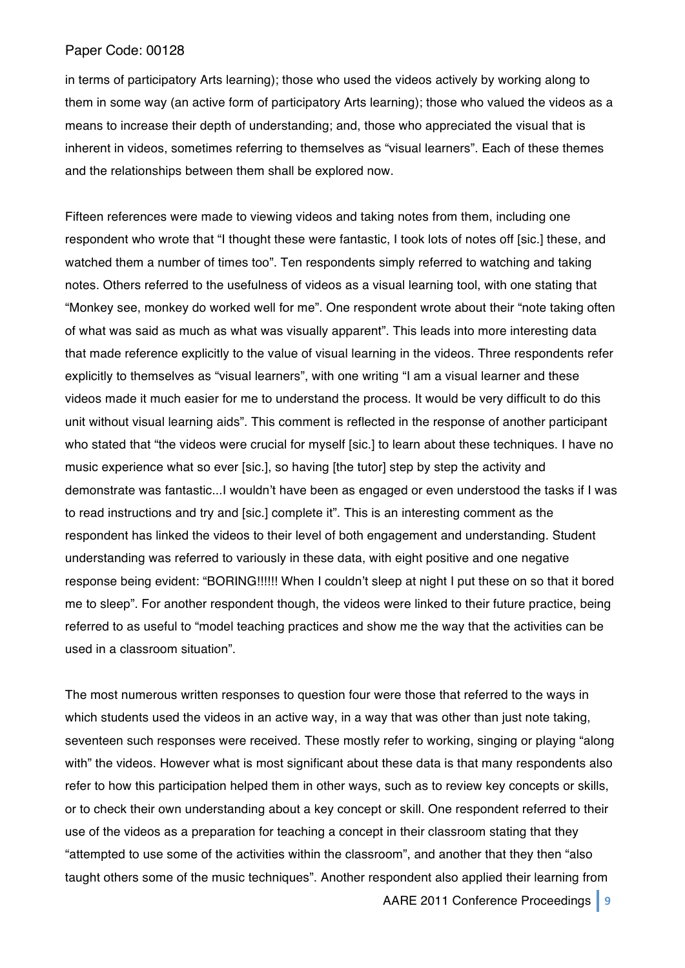in terms of participatory Arts learning); those who used the videos actively by working along to them in some way (an active form of participatory Arts learning); those who valued the videos as a means to increase their depth of understanding; and, those who appreciated the visual that is inherent in videos, sometimes referring to themselves as "visual learners". Each of these themes and the relationships between them shall be explored now.

Fifteen references were made to viewing videos and taking notes from them, including one respondent who wrote that "I thought these were fantastic, I took lots of notes off [sic.] these, and watched them a number of times too". Ten respondents simply referred to watching and taking notes. Others referred to the usefulness of videos as a visual learning tool, with one stating that "Monkey see, monkey do worked well for me". One respondent wrote about their "note taking often of what was said as much as what was visually apparent". This leads into more interesting data that made reference explicitly to the value of visual learning in the videos. Three respondents refer explicitly to themselves as "visual learners", with one writing "I am a visual learner and these videos made it much easier for me to understand the process. It would be very difficult to do this unit without visual learning aids". This comment is reflected in the response of another participant who stated that "the videos were crucial for myself [sic.] to learn about these techniques. I have no music experience what so ever [sic.], so having [the tutor] step by step the activity and demonstrate was fantastic...I wouldn't have been as engaged or even understood the tasks if I was to read instructions and try and [sic.] complete it". This is an interesting comment as the respondent has linked the videos to their level of both engagement and understanding. Student understanding was referred to variously in these data, with eight positive and one negative response being evident: "BORING!!!!!! When I couldn't sleep at night I put these on so that it bored me to sleep". For another respondent though, the videos were linked to their future practice, being referred to as useful to "model teaching practices and show me the way that the activities can be used in a classroom situation".

The most numerous written responses to question four were those that referred to the ways in which students used the videos in an active way, in a way that was other than just note taking, seventeen such responses were received. These mostly refer to working, singing or playing "along with" the videos. However what is most significant about these data is that many respondents also refer to how this participation helped them in other ways, such as to review key concepts or skills, or to check their own understanding about a key concept or skill. One respondent referred to their use of the videos as a preparation for teaching a concept in their classroom stating that they "attempted to use some of the activities within the classroom", and another that they then "also taught others some of the music techniques". Another respondent also applied their learning from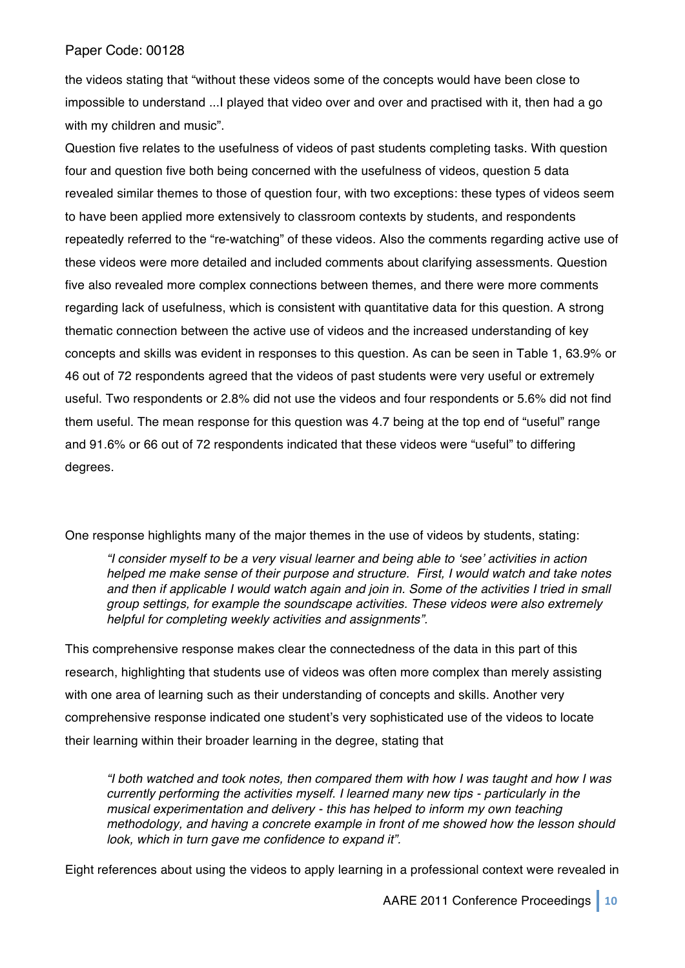the videos stating that "without these videos some of the concepts would have been close to impossible to understand ...I played that video over and over and practised with it, then had a go with my children and music".

Question five relates to the usefulness of videos of past students completing tasks. With question four and question five both being concerned with the usefulness of videos, question 5 data revealed similar themes to those of question four, with two exceptions: these types of videos seem to have been applied more extensively to classroom contexts by students, and respondents repeatedly referred to the "re-watching" of these videos. Also the comments regarding active use of these videos were more detailed and included comments about clarifying assessments. Question five also revealed more complex connections between themes, and there were more comments regarding lack of usefulness, which is consistent with quantitative data for this question. A strong thematic connection between the active use of videos and the increased understanding of key concepts and skills was evident in responses to this question. As can be seen in Table 1, 63.9% or 46 out of 72 respondents agreed that the videos of past students were very useful or extremely useful. Two respondents or 2.8% did not use the videos and four respondents or 5.6% did not find them useful. The mean response for this question was 4.7 being at the top end of "useful" range and 91.6% or 66 out of 72 respondents indicated that these videos were "useful" to differing degrees.

One response highlights many of the major themes in the use of videos by students, stating:

*"I consider myself to be a very visual learner and being able to* ʻ*see*' *activities in action helped me make sense of their purpose and structure. First, I would watch and take notes and then if applicable I would watch again and join in. Some of the activities I tried in small group settings, for example the soundscape activities. These videos were also extremely helpful for completing weekly activities and assignments".* 

This comprehensive response makes clear the connectedness of the data in this part of this research, highlighting that students use of videos was often more complex than merely assisting with one area of learning such as their understanding of concepts and skills. Another very comprehensive response indicated one student's very sophisticated use of the videos to locate their learning within their broader learning in the degree, stating that

*"I both watched and took notes, then compared them with how I was taught and how I was currently performing the activities myself. I learned many new tips - particularly in the musical experimentation and delivery - this has helped to inform my own teaching methodology, and having a concrete example in front of me showed how the lesson should look, which in turn gave me confidence to expand it".* 

Eight references about using the videos to apply learning in a professional context were revealed in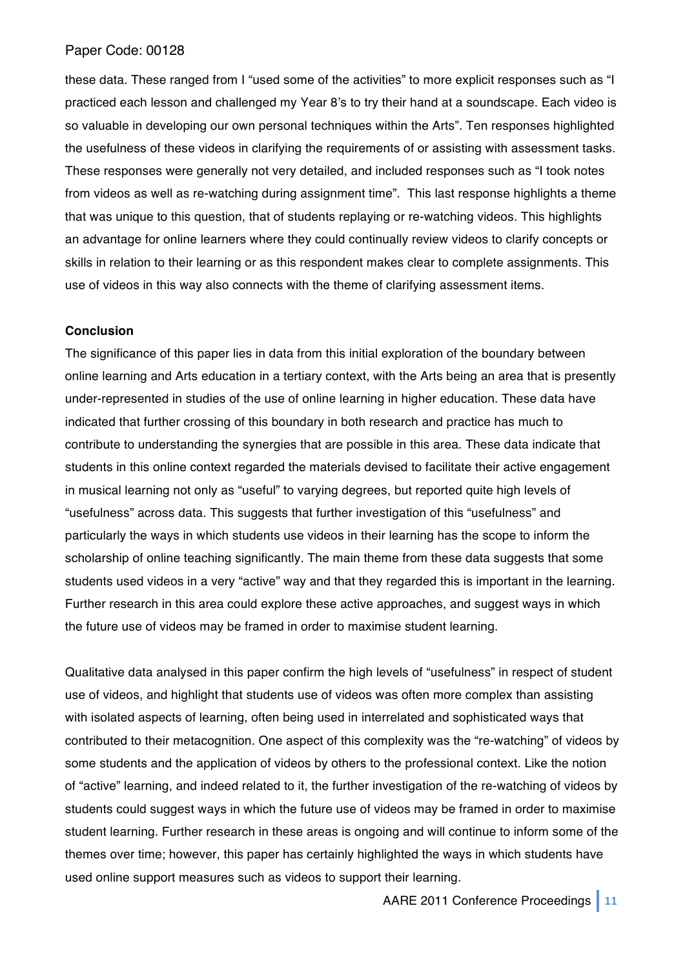these data. These ranged from I "used some of the activities" to more explicit responses such as "I practiced each lesson and challenged my Year 8's to try their hand at a soundscape. Each video is so valuable in developing our own personal techniques within the Arts". Ten responses highlighted the usefulness of these videos in clarifying the requirements of or assisting with assessment tasks. These responses were generally not very detailed, and included responses such as "I took notes from videos as well as re-watching during assignment time". This last response highlights a theme that was unique to this question, that of students replaying or re-watching videos. This highlights an advantage for online learners where they could continually review videos to clarify concepts or skills in relation to their learning or as this respondent makes clear to complete assignments. This use of videos in this way also connects with the theme of clarifying assessment items.

### **Conclusion**

The significance of this paper lies in data from this initial exploration of the boundary between online learning and Arts education in a tertiary context, with the Arts being an area that is presently under-represented in studies of the use of online learning in higher education. These data have indicated that further crossing of this boundary in both research and practice has much to contribute to understanding the synergies that are possible in this area. These data indicate that students in this online context regarded the materials devised to facilitate their active engagement in musical learning not only as "useful" to varying degrees, but reported quite high levels of "usefulness" across data. This suggests that further investigation of this "usefulness" and particularly the ways in which students use videos in their learning has the scope to inform the scholarship of online teaching significantly. The main theme from these data suggests that some students used videos in a very "active" way and that they regarded this is important in the learning. Further research in this area could explore these active approaches, and suggest ways in which the future use of videos may be framed in order to maximise student learning.

Qualitative data analysed in this paper confirm the high levels of "usefulness" in respect of student use of videos, and highlight that students use of videos was often more complex than assisting with isolated aspects of learning, often being used in interrelated and sophisticated ways that contributed to their metacognition. One aspect of this complexity was the "re-watching" of videos by some students and the application of videos by others to the professional context. Like the notion of "active" learning, and indeed related to it, the further investigation of the re-watching of videos by students could suggest ways in which the future use of videos may be framed in order to maximise student learning. Further research in these areas is ongoing and will continue to inform some of the themes over time; however, this paper has certainly highlighted the ways in which students have used online support measures such as videos to support their learning.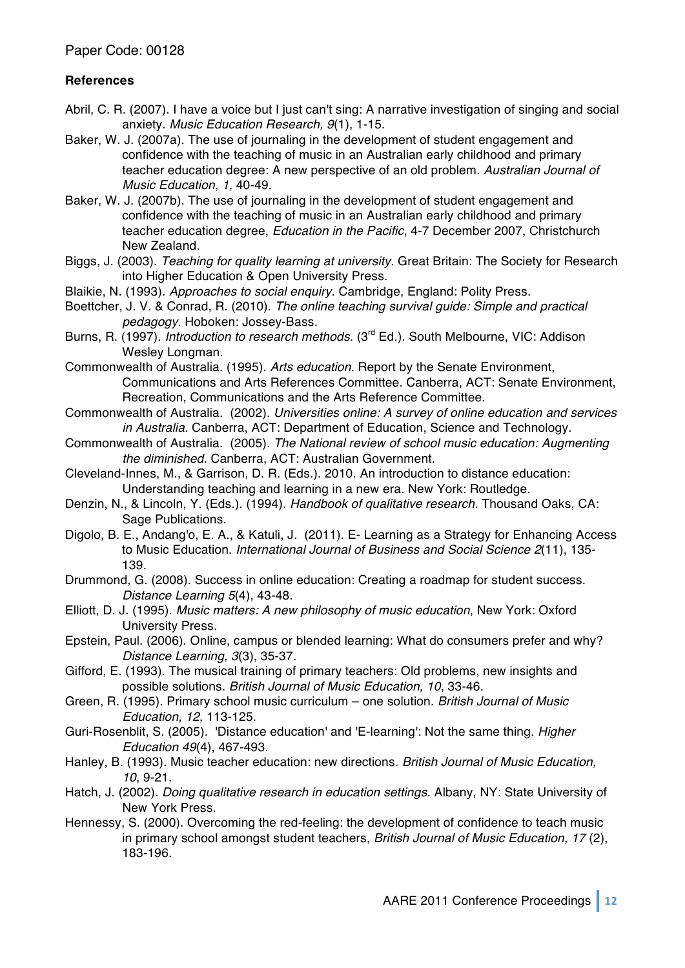# **References**

- Abril, C. R. (2007). I have a voice but I just can't sing: A narrative investigation of singing and social anxiety. *Music Education Research, 9*(1), 1-15.
- Baker, W. J. (2007a). The use of journaling in the development of student engagement and confidence with the teaching of music in an Australian early childhood and primary teacher education degree: A new perspective of an old problem. *Australian Journal of Music Education*, *1,* 40-49.
- Baker, W. J. (2007b). The use of journaling in the development of student engagement and confidence with the teaching of music in an Australian early childhood and primary teacher education degree, *Education in the Pacific*, 4-7 December 2007, Christchurch New Zealand.
- Biggs, J. (2003). *Teaching for quality learning at university.* Great Britain: The Society for Research into Higher Education & Open University Press.
- Blaikie, N. (1993). *Approaches to social enquiry.* Cambridge, England: Polity Press.
- Boettcher, J. V. & Conrad, R. (2010). *The online teaching survival guide: Simple and practical pedagogy.* Hoboken: Jossey-Bass.
- Burns, R. (1997). *Introduction to research methods.* (3rd Ed.). South Melbourne, VIC: Addison Wesley Longman.
- Commonwealth of Australia. (1995). *Arts education*. Report by the Senate Environment, Communications and Arts References Committee. Canberra, ACT: Senate Environment, Recreation, Communications and the Arts Reference Committee.
- Commonwealth of Australia. (2002). *Universities online: A survey of online education and services in Australia.* Canberra, ACT: Department of Education, Science and Technology.
- Commonwealth of Australia. (2005). *The National review of school music education: Augmenting the diminished.* Canberra, ACT: Australian Government.
- Cleveland-Innes, M., & Garrison, D. R. (Eds.). 2010. An introduction to distance education: Understanding teaching and learning in a new era. New York: Routledge.
- Denzin, N., & Lincoln, Y. (Eds.). (1994). *Handbook of qualitative research.* Thousand Oaks, CA: Sage Publications.
- Digolo, B. E., Andang'o, E. A., & Katuli, J. (2011). E- Learning as a Strategy for Enhancing Access to Music Education. *International Journal of Business and Social Science 2*(11), 135- 139.
- Drummond, G. (2008). Success in online education: Creating a roadmap for student success. *Distance Learning 5*(4), 43-48.
- Elliott, D. J. (1995). *Music matters: A new philosophy of music education*, New York: Oxford University Press.
- Epstein, Paul. (2006). Online, campus or blended learning: What do consumers prefer and why? *Distance Learning, 3*(3), 35-37.
- Gifford, E. (1993). The musical training of primary teachers: Old problems, new insights and possible solutions. *British Journal of Music Education, 10*, 33-46.
- Green, R. (1995). Primary school music curriculum one solution. *British Journal of Music Education, 12*, 113-125.
- Guri-Rosenblit, S. (2005). 'Distance education' and 'E-learning': Not the same thing. *Higher Education 49*(4), 467-493.
- Hanley, B. (1993). Music teacher education: new directions. *British Journal of Music Education, 10*, 9-21.
- Hatch, J. (2002). *Doing qualitative research in education settings.* Albany, NY: State University of New York Press.
- Hennessy, S. (2000). Overcoming the red-feeling: the development of confidence to teach music in primary school amongst student teachers, *British Journal of Music Education, 17* (2), 183-196.